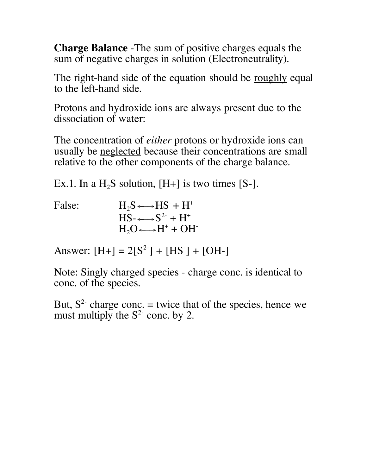**Charge Balance** -The sum of positive charges equals the sum of negative charges in solution (Electroneutrality).

The right-hand side of the equation should be <u>roughly</u> equal to the left-hand side.

Protons and hydroxide ions are always present due to the dissociation of water:

The concentration of *either* protons or hydroxide ions can usually be neglected because their concentrations are small relative to the other components of the charge balance.

Ex.1. In a  $H_2S$  solution, [H+] is two times [S-].

| False: | $H_2S \longrightarrow HS^- + H^+$   |
|--------|-------------------------------------|
|        | $HS - \longrightarrow S^{2-} + H^+$ |
|        | $H_2O \longrightarrow H^+ + OH^-$   |

Answer:  $[H+] = 2[S^2] + [HS^-] + [OH^-]$ 

Note: Singly charged species - charge conc. is identical to conc. of the species.

But,  $S<sup>2</sup>$  charge conc. = twice that of the species, hence we must multiply the  $S^2$  conc. by 2.